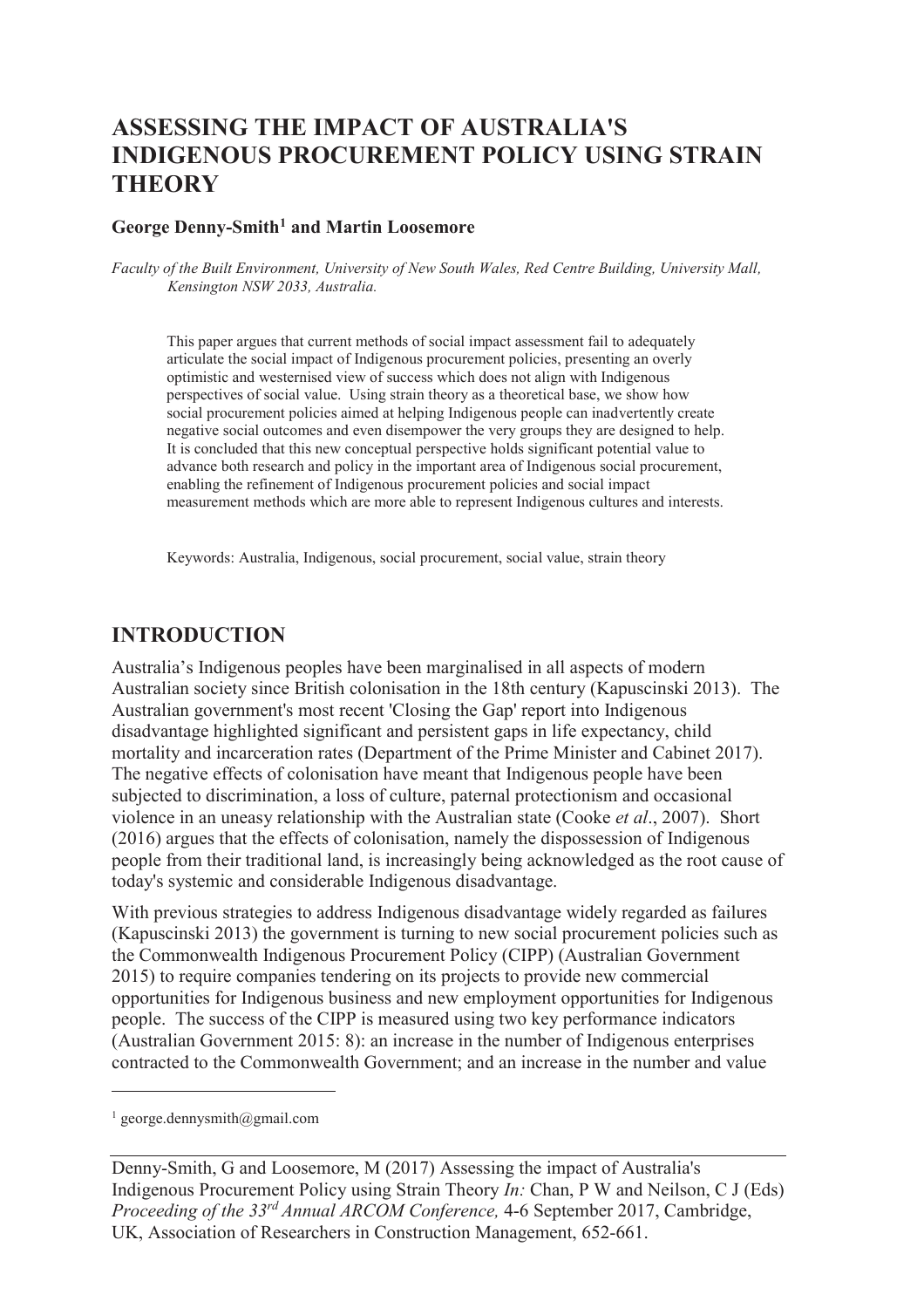# **ASSESSING THE IMPACT OF AUSTRALIA'S INDIGENOUS PROCUREMENT POLICY USING STRAIN THEORY**

#### **George Denny-Smith<sup>1</sup> and Martin Loosemore**

*Faculty of the Built Environment, University of New South Wales, Red Centre Building, University Mall, Kensington NSW 2033, Australia.* 

This paper argues that current methods of social impact assessment fail to adequately articulate the social impact of Indigenous procurement policies, presenting an overly optimistic and westernised view of success which does not align with Indigenous perspectives of social value. Using strain theory as a theoretical base, we show how social procurement policies aimed at helping Indigenous people can inadvertently create negative social outcomes and even disempower the very groups they are designed to help. It is concluded that this new conceptual perspective holds significant potential value to advance both research and policy in the important area of Indigenous social procurement, enabling the refinement of Indigenous procurement policies and social impact measurement methods which are more able to represent Indigenous cultures and interests.

Keywords: Australia, Indigenous, social procurement, social value, strain theory

#### **INTRODUCTION**

Australia's Indigenous peoples have been marginalised in all aspects of modern Australian society since British colonisation in the 18th century (Kapuscinski 2013). The Australian government's most recent 'Closing the Gap' report into Indigenous disadvantage highlighted significant and persistent gaps in life expectancy, child mortality and incarceration rates (Department of the Prime Minister and Cabinet 2017). The negative effects of colonisation have meant that Indigenous people have been subjected to discrimination, a loss of culture, paternal protectionism and occasional violence in an uneasy relationship with the Australian state (Cooke *et al*., 2007). Short (2016) argues that the effects of colonisation, namely the dispossession of Indigenous people from their traditional land, is increasingly being acknowledged as the root cause of today's systemic and considerable Indigenous disadvantage.

With previous strategies to address Indigenous disadvantage widely regarded as failures (Kapuscinski 2013) the government is turning to new social procurement policies such as the Commonwealth Indigenous Procurement Policy (CIPP) (Australian Government 2015) to require companies tendering on its projects to provide new commercial opportunities for Indigenous business and new employment opportunities for Indigenous people. The success of the CIPP is measured using two key performance indicators (Australian Government 2015: 8): an increase in the number of Indigenous enterprises contracted to the Commonwealth Government; and an increase in the number and value

-

<sup>1</sup> george.dennysmith@gmail.com

Denny-Smith, G and Loosemore, M (2017) Assessing the impact of Australia's Indigenous Procurement Policy using Strain Theory *In:* Chan, P W and Neilson, C J (Eds) *Proceeding of the 33rd Annual ARCOM Conference,* 4-6 September 2017, Cambridge, UK, Association of Researchers in Construction Management, 652-661.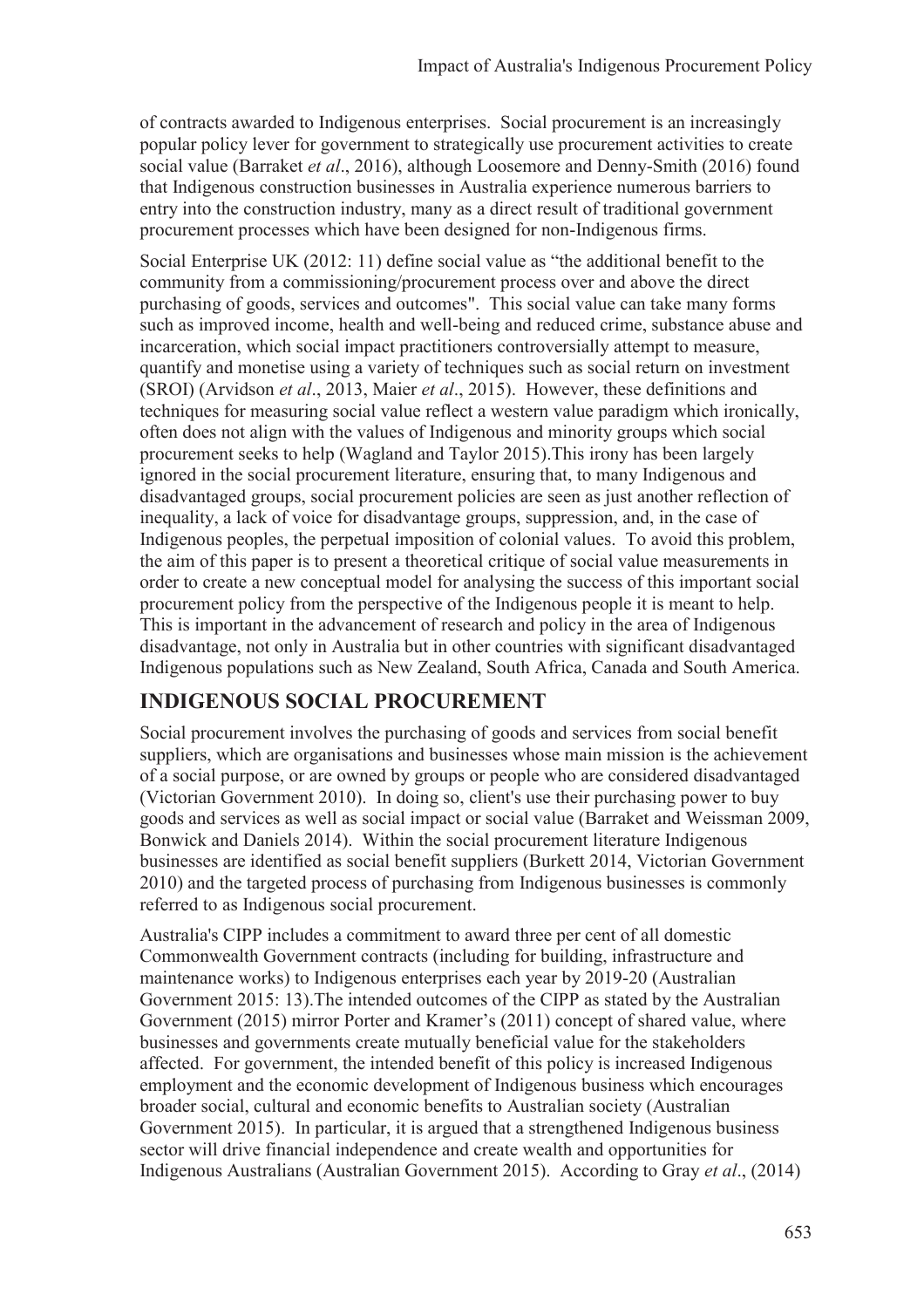of contracts awarded to Indigenous enterprises. Social procurement is an increasingly popular policy lever for government to strategically use procurement activities to create social value (Barraket *et al*., 2016), although Loosemore and Denny-Smith (2016) found that Indigenous construction businesses in Australia experience numerous barriers to entry into the construction industry, many as a direct result of traditional government procurement processes which have been designed for non-Indigenous firms.

Social Enterprise UK (2012: 11) define social value as "the additional benefit to the community from a commissioning/procurement process over and above the direct purchasing of goods, services and outcomes". This social value can take many forms such as improved income, health and well-being and reduced crime, substance abuse and incarceration, which social impact practitioners controversially attempt to measure, quantify and monetise using a variety of techniques such as social return on investment (SROI) (Arvidson *et al*., 2013, Maier *et al*., 2015). However, these definitions and techniques for measuring social value reflect a western value paradigm which ironically, often does not align with the values of Indigenous and minority groups which social procurement seeks to help (Wagland and Taylor 2015).This irony has been largely ignored in the social procurement literature, ensuring that, to many Indigenous and disadvantaged groups, social procurement policies are seen as just another reflection of inequality, a lack of voice for disadvantage groups, suppression, and, in the case of Indigenous peoples, the perpetual imposition of colonial values. To avoid this problem, the aim of this paper is to present a theoretical critique of social value measurements in order to create a new conceptual model for analysing the success of this important social procurement policy from the perspective of the Indigenous people it is meant to help. This is important in the advancement of research and policy in the area of Indigenous disadvantage, not only in Australia but in other countries with significant disadvantaged Indigenous populations such as New Zealand, South Africa, Canada and South America.

## **INDIGENOUS SOCIAL PROCUREMENT**

Social procurement involves the purchasing of goods and services from social benefit suppliers, which are organisations and businesses whose main mission is the achievement of a social purpose, or are owned by groups or people who are considered disadvantaged (Victorian Government 2010). In doing so, client's use their purchasing power to buy goods and services as well as social impact or social value (Barraket and Weissman 2009, Bonwick and Daniels 2014). Within the social procurement literature Indigenous businesses are identified as social benefit suppliers (Burkett 2014, Victorian Government 2010) and the targeted process of purchasing from Indigenous businesses is commonly referred to as Indigenous social procurement.

Australia's CIPP includes a commitment to award three per cent of all domestic Commonwealth Government contracts (including for building, infrastructure and maintenance works) to Indigenous enterprises each year by 2019-20 (Australian Government 2015: 13).The intended outcomes of the CIPP as stated by the Australian Government (2015) mirror Porter and Kramer's (2011) concept of shared value, where businesses and governments create mutually beneficial value for the stakeholders affected. For government, the intended benefit of this policy is increased Indigenous employment and the economic development of Indigenous business which encourages broader social, cultural and economic benefits to Australian society (Australian Government 2015). In particular, it is argued that a strengthened Indigenous business sector will drive financial independence and create wealth and opportunities for Indigenous Australians (Australian Government 2015). According to Gray *et al*., (2014)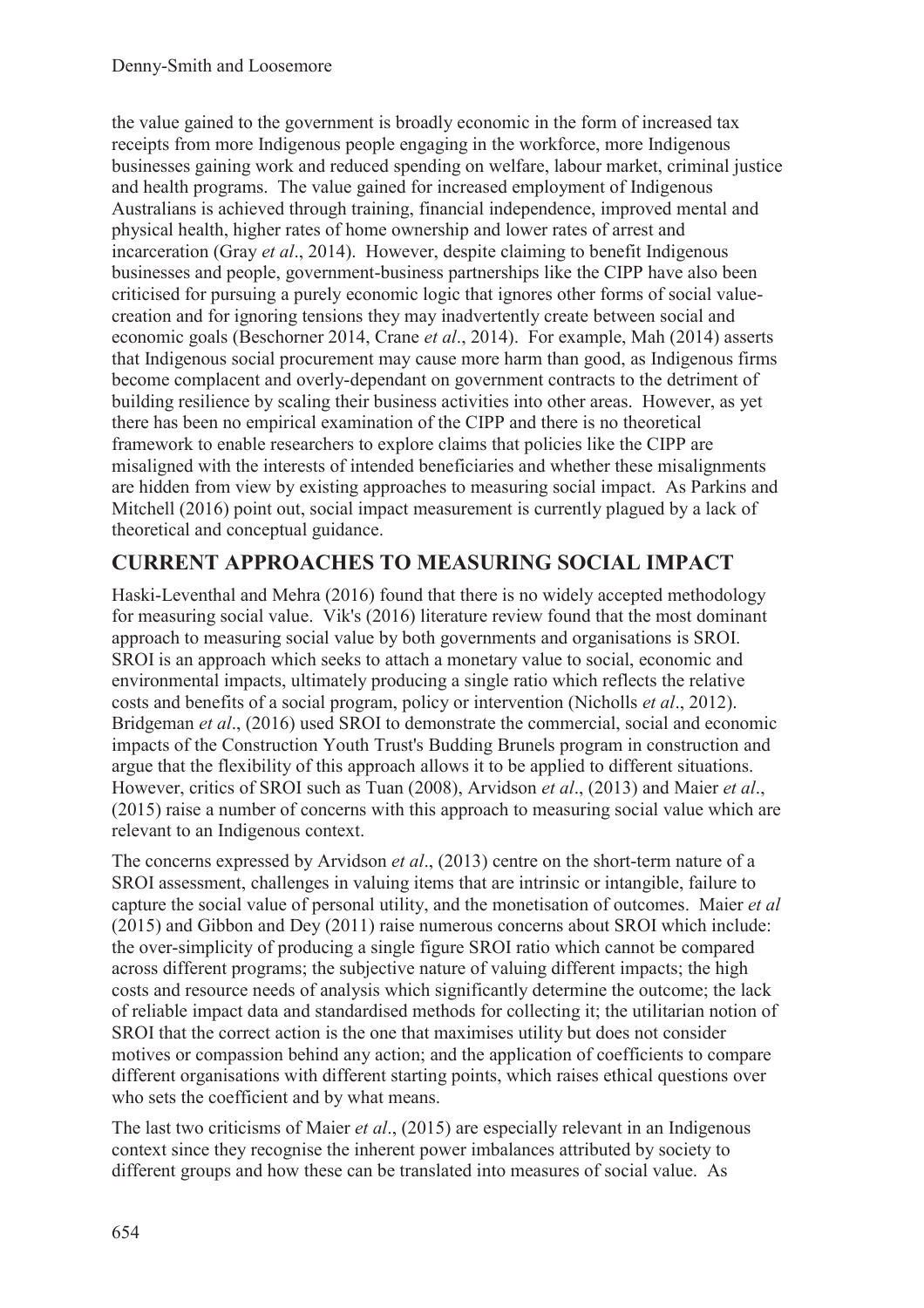the value gained to the government is broadly economic in the form of increased tax receipts from more Indigenous people engaging in the workforce, more Indigenous businesses gaining work and reduced spending on welfare, labour market, criminal justice and health programs. The value gained for increased employment of Indigenous Australians is achieved through training, financial independence, improved mental and physical health, higher rates of home ownership and lower rates of arrest and incarceration (Gray *et al*., 2014). However, despite claiming to benefit Indigenous businesses and people, government-business partnerships like the CIPP have also been criticised for pursuing a purely economic logic that ignores other forms of social valuecreation and for ignoring tensions they may inadvertently create between social and economic goals (Beschorner 2014, Crane *et al*., 2014). For example, Mah (2014) asserts that Indigenous social procurement may cause more harm than good, as Indigenous firms become complacent and overly-dependant on government contracts to the detriment of building resilience by scaling their business activities into other areas. However, as yet there has been no empirical examination of the CIPP and there is no theoretical framework to enable researchers to explore claims that policies like the CIPP are misaligned with the interests of intended beneficiaries and whether these misalignments are hidden from view by existing approaches to measuring social impact. As Parkins and Mitchell (2016) point out, social impact measurement is currently plagued by a lack of theoretical and conceptual guidance.

## **CURRENT APPROACHES TO MEASURING SOCIAL IMPACT**

Haski-Leventhal and Mehra (2016) found that there is no widely accepted methodology for measuring social value. Vik's (2016) literature review found that the most dominant approach to measuring social value by both governments and organisations is SROI. SROI is an approach which seeks to attach a monetary value to social, economic and environmental impacts, ultimately producing a single ratio which reflects the relative costs and benefits of a social program, policy or intervention (Nicholls *et al*., 2012). Bridgeman *et al*., (2016) used SROI to demonstrate the commercial, social and economic impacts of the Construction Youth Trust's Budding Brunels program in construction and argue that the flexibility of this approach allows it to be applied to different situations. However, critics of SROI such as Tuan (2008), Arvidson *et al*., (2013) and Maier *et al*., (2015) raise a number of concerns with this approach to measuring social value which are relevant to an Indigenous context.

The concerns expressed by Arvidson *et al*., (2013) centre on the short-term nature of a SROI assessment, challenges in valuing items that are intrinsic or intangible, failure to capture the social value of personal utility, and the monetisation of outcomes. Maier *et al* (2015) and Gibbon and Dey (2011) raise numerous concerns about SROI which include: the over-simplicity of producing a single figure SROI ratio which cannot be compared across different programs; the subjective nature of valuing different impacts; the high costs and resource needs of analysis which significantly determine the outcome; the lack of reliable impact data and standardised methods for collecting it; the utilitarian notion of SROI that the correct action is the one that maximises utility but does not consider motives or compassion behind any action; and the application of coefficients to compare different organisations with different starting points, which raises ethical questions over who sets the coefficient and by what means.

The last two criticisms of Maier *et al*., (2015) are especially relevant in an Indigenous context since they recognise the inherent power imbalances attributed by society to different groups and how these can be translated into measures of social value. As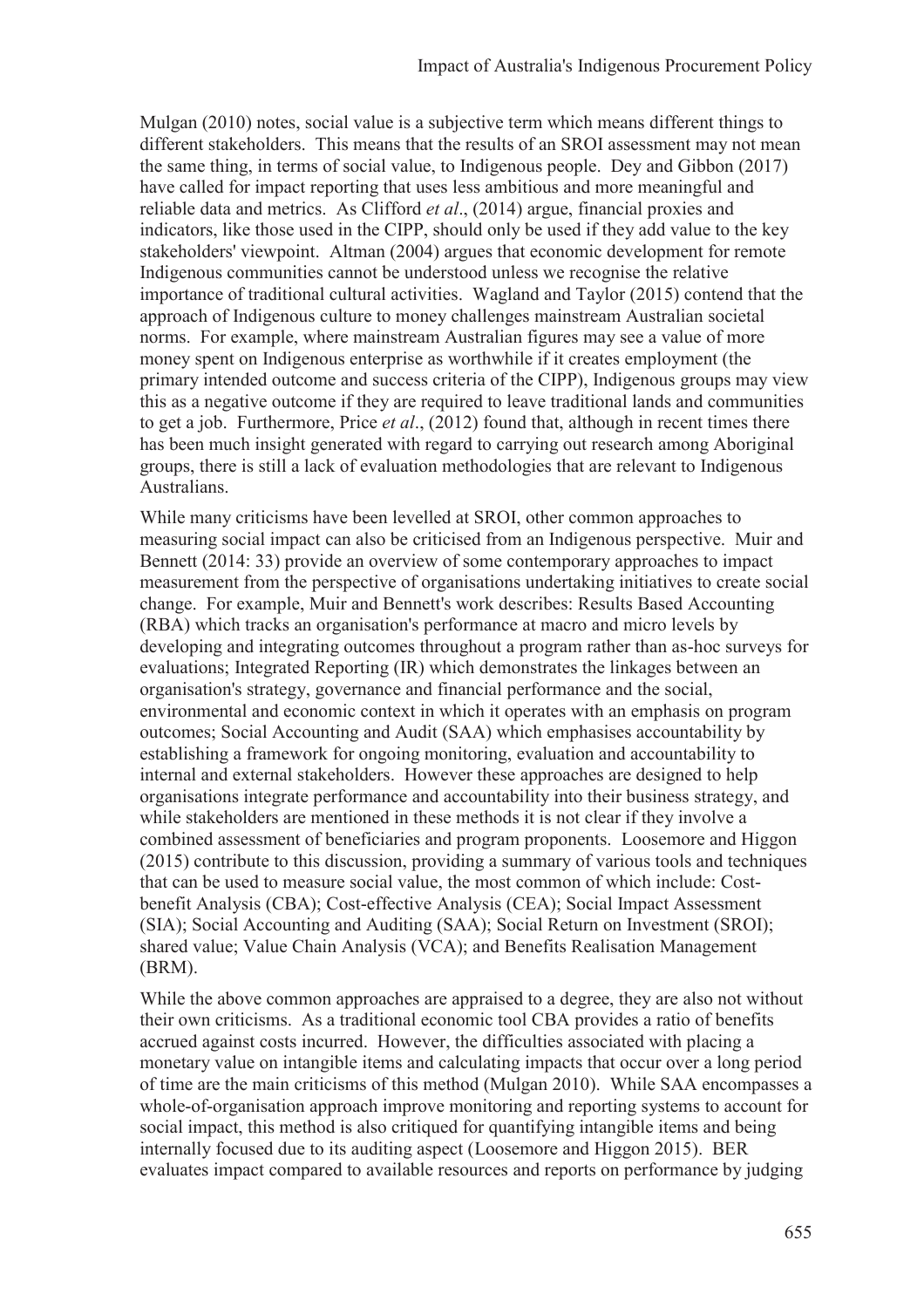Mulgan (2010) notes, social value is a subjective term which means different things to different stakeholders. This means that the results of an SROI assessment may not mean the same thing, in terms of social value, to Indigenous people. Dey and Gibbon (2017) have called for impact reporting that uses less ambitious and more meaningful and reliable data and metrics. As Clifford *et al*., (2014) argue, financial proxies and indicators, like those used in the CIPP, should only be used if they add value to the key stakeholders' viewpoint. Altman (2004) argues that economic development for remote Indigenous communities cannot be understood unless we recognise the relative importance of traditional cultural activities. Wagland and Taylor (2015) contend that the approach of Indigenous culture to money challenges mainstream Australian societal norms. For example, where mainstream Australian figures may see a value of more money spent on Indigenous enterprise as worthwhile if it creates employment (the primary intended outcome and success criteria of the CIPP), Indigenous groups may view this as a negative outcome if they are required to leave traditional lands and communities to get a job. Furthermore, Price *et al*., (2012) found that, although in recent times there has been much insight generated with regard to carrying out research among Aboriginal groups, there is still a lack of evaluation methodologies that are relevant to Indigenous Australians.

While many criticisms have been levelled at SROI, other common approaches to measuring social impact can also be criticised from an Indigenous perspective. Muir and Bennett (2014: 33) provide an overview of some contemporary approaches to impact measurement from the perspective of organisations undertaking initiatives to create social change. For example, Muir and Bennett's work describes: Results Based Accounting (RBA) which tracks an organisation's performance at macro and micro levels by developing and integrating outcomes throughout a program rather than as-hoc surveys for evaluations; Integrated Reporting (IR) which demonstrates the linkages between an organisation's strategy, governance and financial performance and the social, environmental and economic context in which it operates with an emphasis on program outcomes; Social Accounting and Audit (SAA) which emphasises accountability by establishing a framework for ongoing monitoring, evaluation and accountability to internal and external stakeholders. However these approaches are designed to help organisations integrate performance and accountability into their business strategy, and while stakeholders are mentioned in these methods it is not clear if they involve a combined assessment of beneficiaries and program proponents. Loosemore and Higgon (2015) contribute to this discussion, providing a summary of various tools and techniques that can be used to measure social value, the most common of which include: Costbenefit Analysis (CBA); Cost-effective Analysis (CEA); Social Impact Assessment (SIA); Social Accounting and Auditing (SAA); Social Return on Investment (SROI); shared value; Value Chain Analysis (VCA); and Benefits Realisation Management (BRM).

While the above common approaches are appraised to a degree, they are also not without their own criticisms. As a traditional economic tool CBA provides a ratio of benefits accrued against costs incurred. However, the difficulties associated with placing a monetary value on intangible items and calculating impacts that occur over a long period of time are the main criticisms of this method (Mulgan 2010). While SAA encompasses a whole-of-organisation approach improve monitoring and reporting systems to account for social impact, this method is also critiqued for quantifying intangible items and being internally focused due to its auditing aspect (Loosemore and Higgon 2015). BER evaluates impact compared to available resources and reports on performance by judging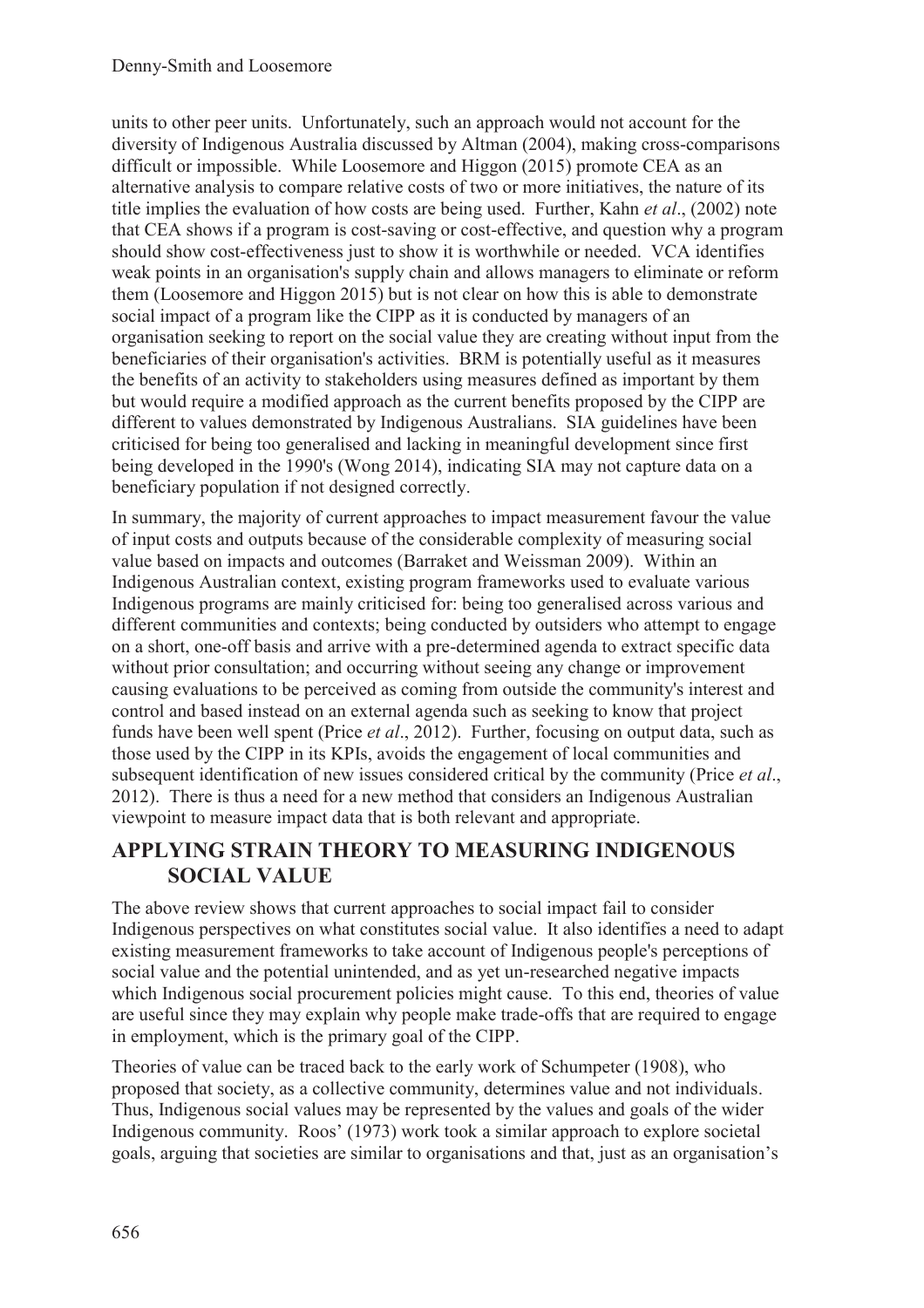units to other peer units. Unfortunately, such an approach would not account for the diversity of Indigenous Australia discussed by Altman (2004), making cross-comparisons difficult or impossible. While Loosemore and Higgon (2015) promote CEA as an alternative analysis to compare relative costs of two or more initiatives, the nature of its title implies the evaluation of how costs are being used. Further, Kahn *et al*., (2002) note that CEA shows if a program is cost-saving or cost-effective, and question why a program should show cost-effectiveness just to show it is worthwhile or needed. VCA identifies weak points in an organisation's supply chain and allows managers to eliminate or reform them (Loosemore and Higgon 2015) but is not clear on how this is able to demonstrate social impact of a program like the CIPP as it is conducted by managers of an organisation seeking to report on the social value they are creating without input from the beneficiaries of their organisation's activities. BRM is potentially useful as it measures the benefits of an activity to stakeholders using measures defined as important by them but would require a modified approach as the current benefits proposed by the CIPP are different to values demonstrated by Indigenous Australians. SIA guidelines have been criticised for being too generalised and lacking in meaningful development since first being developed in the 1990's (Wong 2014), indicating SIA may not capture data on a beneficiary population if not designed correctly.

In summary, the majority of current approaches to impact measurement favour the value of input costs and outputs because of the considerable complexity of measuring social value based on impacts and outcomes (Barraket and Weissman 2009). Within an Indigenous Australian context, existing program frameworks used to evaluate various Indigenous programs are mainly criticised for: being too generalised across various and different communities and contexts; being conducted by outsiders who attempt to engage on a short, one-off basis and arrive with a pre-determined agenda to extract specific data without prior consultation; and occurring without seeing any change or improvement causing evaluations to be perceived as coming from outside the community's interest and control and based instead on an external agenda such as seeking to know that project funds have been well spent (Price *et al*., 2012). Further, focusing on output data, such as those used by the CIPP in its KPIs, avoids the engagement of local communities and subsequent identification of new issues considered critical by the community (Price *et al*., 2012). There is thus a need for a new method that considers an Indigenous Australian viewpoint to measure impact data that is both relevant and appropriate.

### **APPLYING STRAIN THEORY TO MEASURING INDIGENOUS SOCIAL VALUE**

The above review shows that current approaches to social impact fail to consider Indigenous perspectives on what constitutes social value. It also identifies a need to adapt existing measurement frameworks to take account of Indigenous people's perceptions of social value and the potential unintended, and as yet un-researched negative impacts which Indigenous social procurement policies might cause. To this end, theories of value are useful since they may explain why people make trade-offs that are required to engage in employment, which is the primary goal of the CIPP.

Theories of value can be traced back to the early work of Schumpeter (1908), who proposed that society, as a collective community, determines value and not individuals. Thus, Indigenous social values may be represented by the values and goals of the wider Indigenous community. Roos' (1973) work took a similar approach to explore societal goals, arguing that societies are similar to organisations and that, just as an organisation's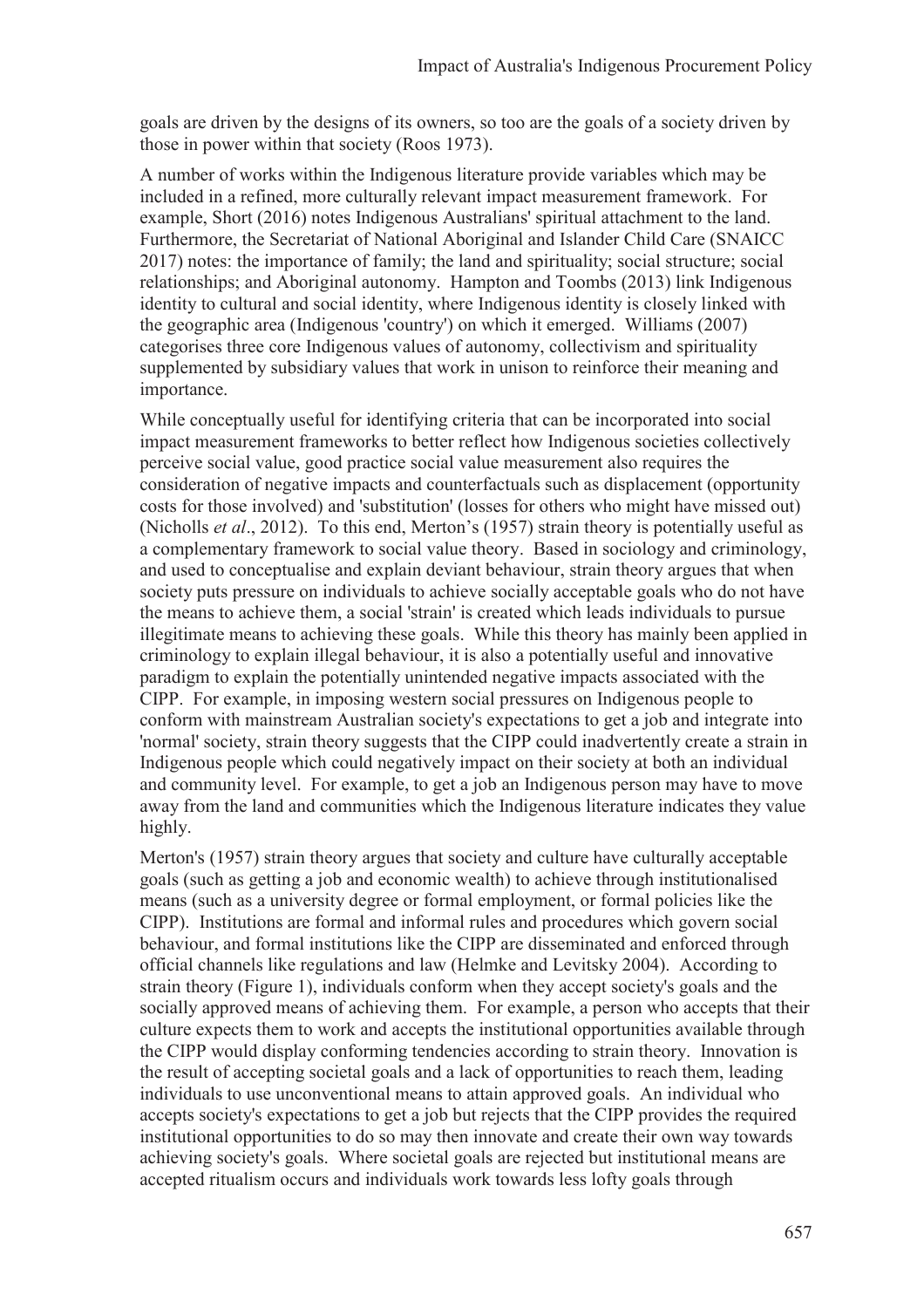goals are driven by the designs of its owners, so too are the goals of a society driven by those in power within that society (Roos 1973).

A number of works within the Indigenous literature provide variables which may be included in a refined, more culturally relevant impact measurement framework. For example, Short (2016) notes Indigenous Australians' spiritual attachment to the land. Furthermore, the Secretariat of National Aboriginal and Islander Child Care (SNAICC 2017) notes: the importance of family; the land and spirituality; social structure; social relationships; and Aboriginal autonomy. Hampton and Toombs (2013) link Indigenous identity to cultural and social identity, where Indigenous identity is closely linked with the geographic area (Indigenous 'country') on which it emerged. Williams (2007) categorises three core Indigenous values of autonomy, collectivism and spirituality supplemented by subsidiary values that work in unison to reinforce their meaning and importance.

While conceptually useful for identifying criteria that can be incorporated into social impact measurement frameworks to better reflect how Indigenous societies collectively perceive social value, good practice social value measurement also requires the consideration of negative impacts and counterfactuals such as displacement (opportunity costs for those involved) and 'substitution' (losses for others who might have missed out) (Nicholls *et al*., 2012). To this end, Merton's (1957) strain theory is potentially useful as a complementary framework to social value theory. Based in sociology and criminology, and used to conceptualise and explain deviant behaviour, strain theory argues that when society puts pressure on individuals to achieve socially acceptable goals who do not have the means to achieve them, a social 'strain' is created which leads individuals to pursue illegitimate means to achieving these goals. While this theory has mainly been applied in criminology to explain illegal behaviour, it is also a potentially useful and innovative paradigm to explain the potentially unintended negative impacts associated with the CIPP. For example, in imposing western social pressures on Indigenous people to conform with mainstream Australian society's expectations to get a job and integrate into 'normal' society, strain theory suggests that the CIPP could inadvertently create a strain in Indigenous people which could negatively impact on their society at both an individual and community level. For example, to get a job an Indigenous person may have to move away from the land and communities which the Indigenous literature indicates they value highly.

Merton's (1957) strain theory argues that society and culture have culturally acceptable goals (such as getting a job and economic wealth) to achieve through institutionalised means (such as a university degree or formal employment, or formal policies like the CIPP). Institutions are formal and informal rules and procedures which govern social behaviour, and formal institutions like the CIPP are disseminated and enforced through official channels like regulations and law (Helmke and Levitsky 2004). According to strain theory (Figure 1), individuals conform when they accept society's goals and the socially approved means of achieving them. For example, a person who accepts that their culture expects them to work and accepts the institutional opportunities available through the CIPP would display conforming tendencies according to strain theory. Innovation is the result of accepting societal goals and a lack of opportunities to reach them, leading individuals to use unconventional means to attain approved goals. An individual who accepts society's expectations to get a job but rejects that the CIPP provides the required institutional opportunities to do so may then innovate and create their own way towards achieving society's goals. Where societal goals are rejected but institutional means are accepted ritualism occurs and individuals work towards less lofty goals through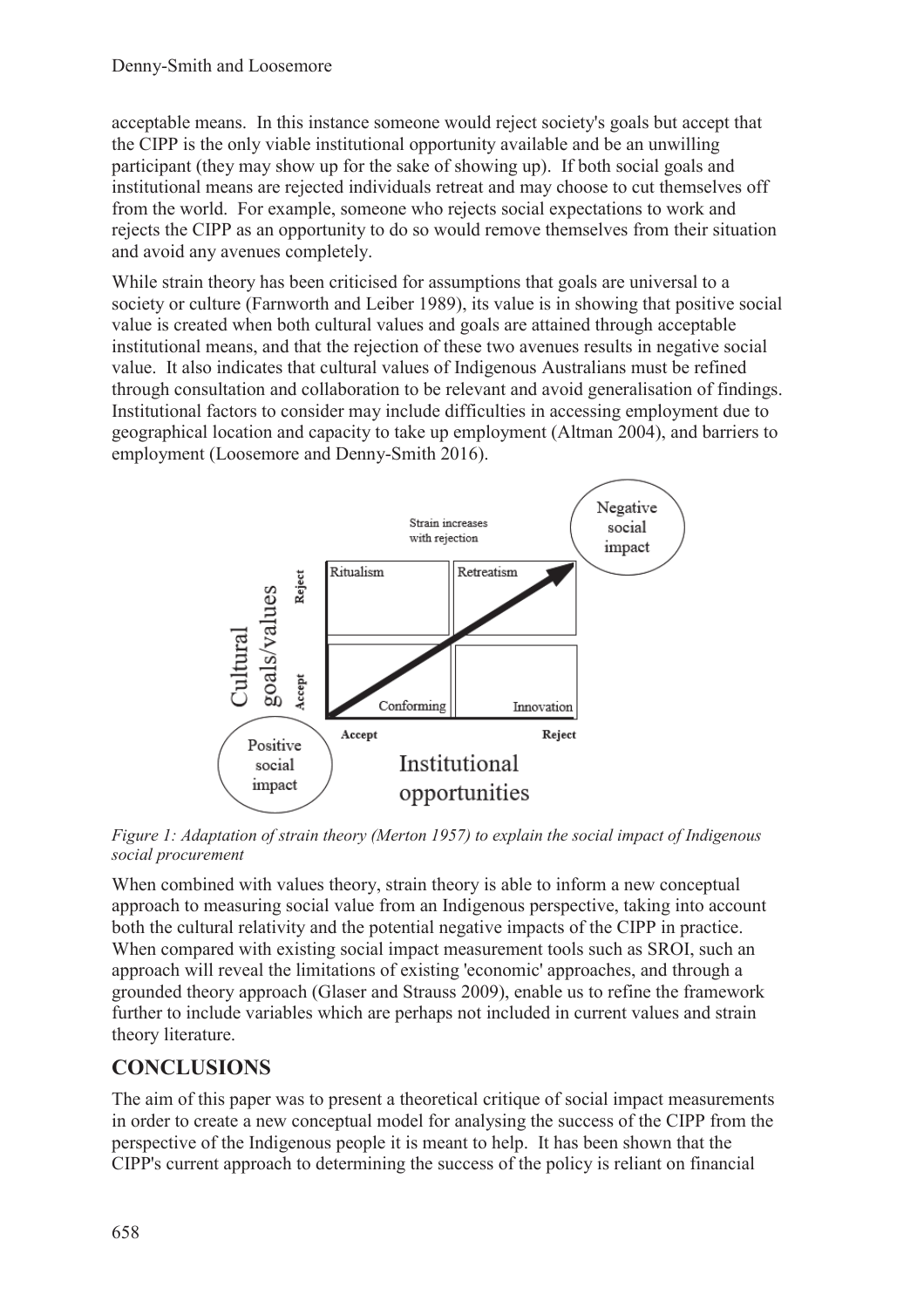acceptable means. In this instance someone would reject society's goals but accept that the CIPP is the only viable institutional opportunity available and be an unwilling participant (they may show up for the sake of showing up). If both social goals and institutional means are rejected individuals retreat and may choose to cut themselves off from the world. For example, someone who rejects social expectations to work and rejects the CIPP as an opportunity to do so would remove themselves from their situation and avoid any avenues completely.

While strain theory has been criticised for assumptions that goals are universal to a society or culture (Farnworth and Leiber 1989), its value is in showing that positive social value is created when both cultural values and goals are attained through acceptable institutional means, and that the rejection of these two avenues results in negative social value. It also indicates that cultural values of Indigenous Australians must be refined through consultation and collaboration to be relevant and avoid generalisation of findings. Institutional factors to consider may include difficulties in accessing employment due to geographical location and capacity to take up employment (Altman 2004), and barriers to employment (Loosemore and Denny-Smith 2016).



*Figure 1: Adaptation of strain theory (Merton 1957) to explain the social impact of Indigenous social procurement* 

When combined with values theory, strain theory is able to inform a new conceptual approach to measuring social value from an Indigenous perspective, taking into account both the cultural relativity and the potential negative impacts of the CIPP in practice. When compared with existing social impact measurement tools such as SROI, such an approach will reveal the limitations of existing 'economic' approaches, and through a grounded theory approach (Glaser and Strauss 2009), enable us to refine the framework further to include variables which are perhaps not included in current values and strain theory literature.

## **CONCLUSIONS**

The aim of this paper was to present a theoretical critique of social impact measurements in order to create a new conceptual model for analysing the success of the CIPP from the perspective of the Indigenous people it is meant to help. It has been shown that the CIPP's current approach to determining the success of the policy is reliant on financial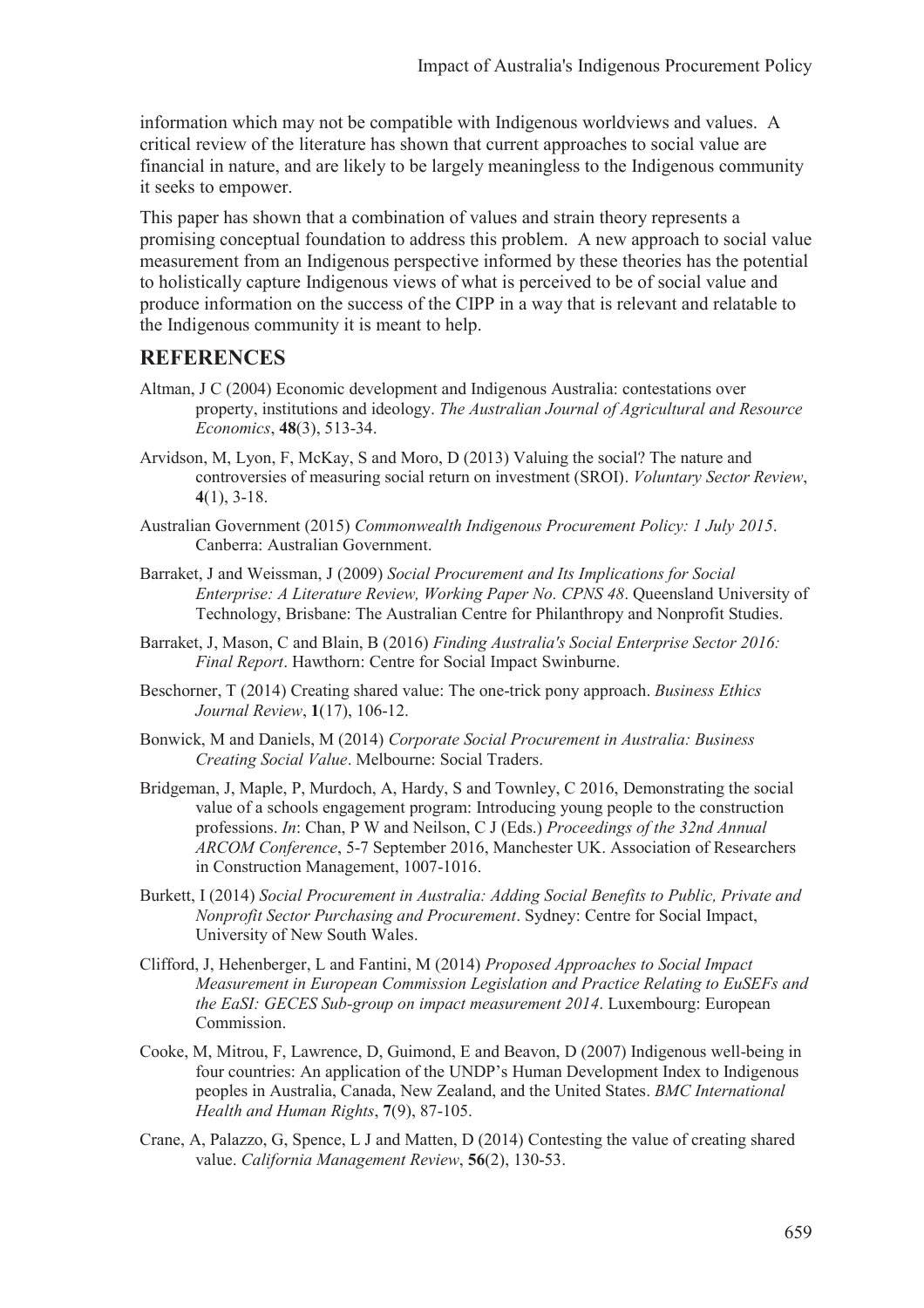information which may not be compatible with Indigenous worldviews and values. A critical review of the literature has shown that current approaches to social value are financial in nature, and are likely to be largely meaningless to the Indigenous community it seeks to empower.

This paper has shown that a combination of values and strain theory represents a promising conceptual foundation to address this problem. A new approach to social value measurement from an Indigenous perspective informed by these theories has the potential to holistically capture Indigenous views of what is perceived to be of social value and produce information on the success of the CIPP in a way that is relevant and relatable to the Indigenous community it is meant to help.

#### **REFERENCES**

- Altman, J C (2004) Economic development and Indigenous Australia: contestations over property, institutions and ideology. *The Australian Journal of Agricultural and Resource Economics*, **48**(3), 513-34.
- Arvidson, M, Lyon, F, McKay, S and Moro, D (2013) Valuing the social? The nature and controversies of measuring social return on investment (SROI). *Voluntary Sector Review*, **4**(1), 3-18.
- Australian Government (2015) *Commonwealth Indigenous Procurement Policy: 1 July 2015*. Canberra: Australian Government.
- Barraket, J and Weissman, J (2009) *Social Procurement and Its Implications for Social Enterprise: A Literature Review, Working Paper No. CPNS 48*. Queensland University of Technology, Brisbane: The Australian Centre for Philanthropy and Nonprofit Studies.
- Barraket, J, Mason, C and Blain, B (2016) *Finding Australia's Social Enterprise Sector 2016: Final Report*. Hawthorn: Centre for Social Impact Swinburne.
- Beschorner, T (2014) Creating shared value: The one-trick pony approach. *Business Ethics Journal Review*, **1**(17), 106-12.
- Bonwick, M and Daniels, M (2014) *Corporate Social Procurement in Australia: Business Creating Social Value*. Melbourne: Social Traders.
- Bridgeman, J, Maple, P, Murdoch, A, Hardy, S and Townley, C 2016, Demonstrating the social value of a schools engagement program: Introducing young people to the construction professions. *In*: Chan, P W and Neilson, C J (Eds.) *Proceedings of the 32nd Annual ARCOM Conference*, 5-7 September 2016, Manchester UK. Association of Researchers in Construction Management, 1007-1016.
- Burkett, I (2014) *Social Procurement in Australia: Adding Social Benefits to Public, Private and Nonprofit Sector Purchasing and Procurement*. Sydney: Centre for Social Impact, University of New South Wales.
- Clifford, J, Hehenberger, L and Fantini, M (2014) *Proposed Approaches to Social Impact Measurement in European Commission Legislation and Practice Relating to EuSEFs and the EaSI: GECES Sub-group on impact measurement 2014*. Luxembourg: European Commission.
- Cooke, M, Mitrou, F, Lawrence, D, Guimond, E and Beavon, D (2007) Indigenous well-being in four countries: An application of the UNDP's Human Development Index to Indigenous peoples in Australia, Canada, New Zealand, and the United States. *BMC International Health and Human Rights*, **7**(9), 87-105.
- Crane, A, Palazzo, G, Spence, L J and Matten, D (2014) Contesting the value of creating shared value. *California Management Review*, **56**(2), 130-53.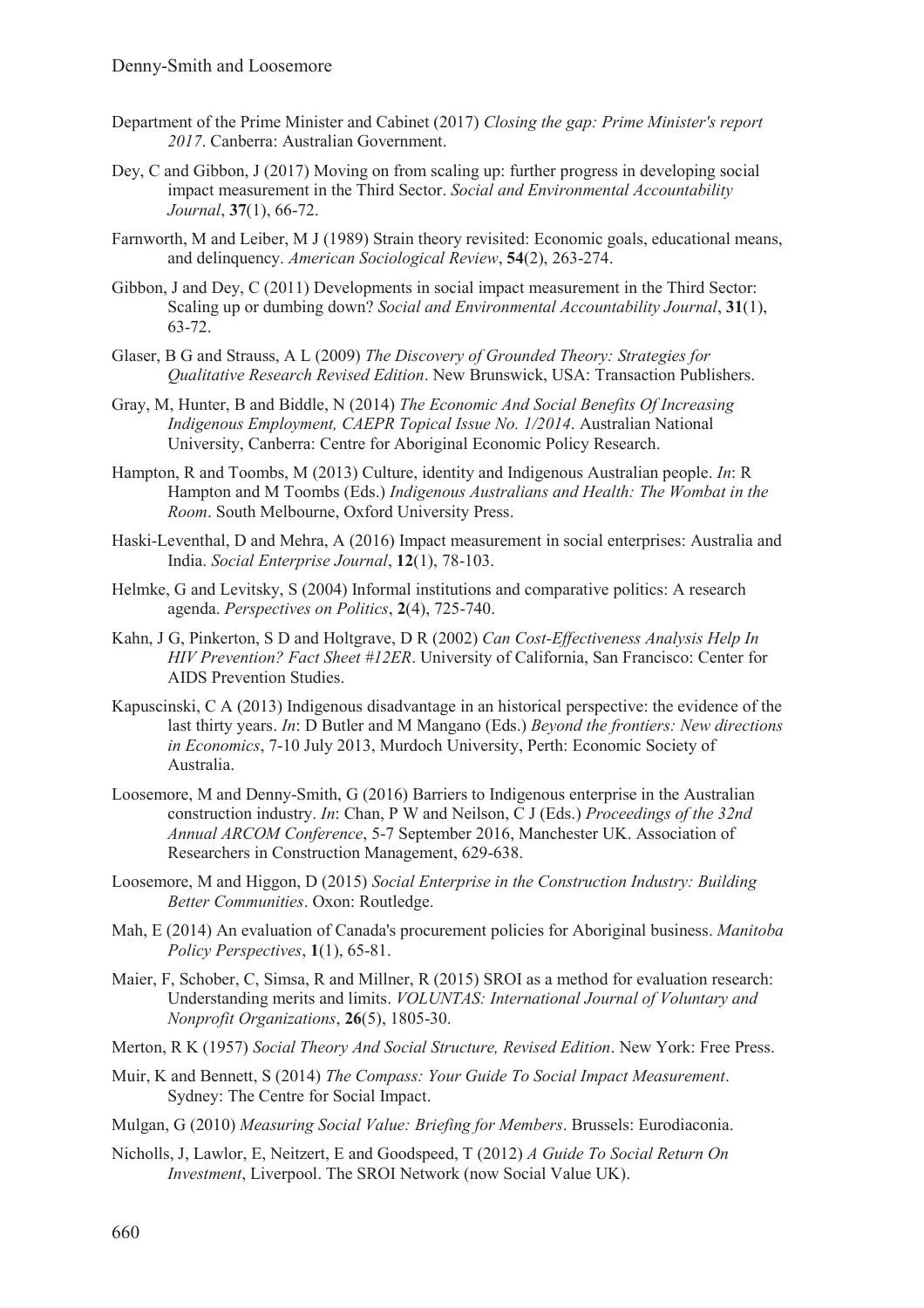- Department of the Prime Minister and Cabinet (2017) *Closing the gap: Prime Minister's report 2017*. Canberra: Australian Government.
- Dey, C and Gibbon, J (2017) Moving on from scaling up: further progress in developing social impact measurement in the Third Sector. *Social and Environmental Accountability Journal*, **37**(1), 66-72.
- Farnworth, M and Leiber, M J (1989) Strain theory revisited: Economic goals, educational means, and delinquency. *American Sociological Review*, **54**(2), 263-274.
- Gibbon, J and Dey, C (2011) Developments in social impact measurement in the Third Sector: Scaling up or dumbing down? *Social and Environmental Accountability Journal*, **31**(1), 63-72.
- Glaser, B G and Strauss, A L (2009) *The Discovery of Grounded Theory: Strategies for Qualitative Research Revised Edition*. New Brunswick, USA: Transaction Publishers.
- Gray, M, Hunter, B and Biddle, N (2014) *The Economic And Social Benefits Of Increasing Indigenous Employment, CAEPR Topical Issue No. 1/2014*. Australian National University, Canberra: Centre for Aboriginal Economic Policy Research.
- Hampton, R and Toombs, M (2013) Culture, identity and Indigenous Australian people. *In*: R Hampton and M Toombs (Eds.) *Indigenous Australians and Health: The Wombat in the Room*. South Melbourne, Oxford University Press.
- Haski-Leventhal, D and Mehra, A (2016) Impact measurement in social enterprises: Australia and India. *Social Enterprise Journal*, **12**(1), 78-103.
- Helmke, G and Levitsky, S (2004) Informal institutions and comparative politics: A research agenda. *Perspectives on Politics*, **2**(4), 725-740.
- Kahn, J G, Pinkerton, S D and Holtgrave, D R (2002) *Can Cost-Effectiveness Analysis Help In HIV Prevention? Fact Sheet #12ER*. University of California, San Francisco: Center for AIDS Prevention Studies.
- Kapuscinski, C A (2013) Indigenous disadvantage in an historical perspective: the evidence of the last thirty years. *In*: D Butler and M Mangano (Eds.) *Beyond the frontiers: New directions in Economics*, 7-10 July 2013, Murdoch University, Perth: Economic Society of Australia.
- Loosemore, M and Denny-Smith, G (2016) Barriers to Indigenous enterprise in the Australian construction industry. *In*: Chan, P W and Neilson, C J (Eds.) *Proceedings of the 32nd Annual ARCOM Conference*, 5-7 September 2016, Manchester UK. Association of Researchers in Construction Management, 629-638.
- Loosemore, M and Higgon, D (2015) *Social Enterprise in the Construction Industry: Building Better Communities*. Oxon: Routledge.
- Mah, E (2014) An evaluation of Canada's procurement policies for Aboriginal business. *Manitoba Policy Perspectives*, **1**(1), 65-81.
- Maier, F, Schober, C, Simsa, R and Millner, R (2015) SROI as a method for evaluation research: Understanding merits and limits. *VOLUNTAS: International Journal of Voluntary and Nonprofit Organizations*, **26**(5), 1805-30.
- Merton, R K (1957) *Social Theory And Social Structure, Revised Edition*. New York: Free Press.
- Muir, K and Bennett, S (2014) *The Compass: Your Guide To Social Impact Measurement*. Sydney: The Centre for Social Impact.
- Mulgan, G (2010) *Measuring Social Value: Briefing for Members*. Brussels: Eurodiaconia.
- Nicholls, J, Lawlor, E, Neitzert, E and Goodspeed, T (2012) *A Guide To Social Return On Investment*, Liverpool. The SROI Network (now Social Value UK).